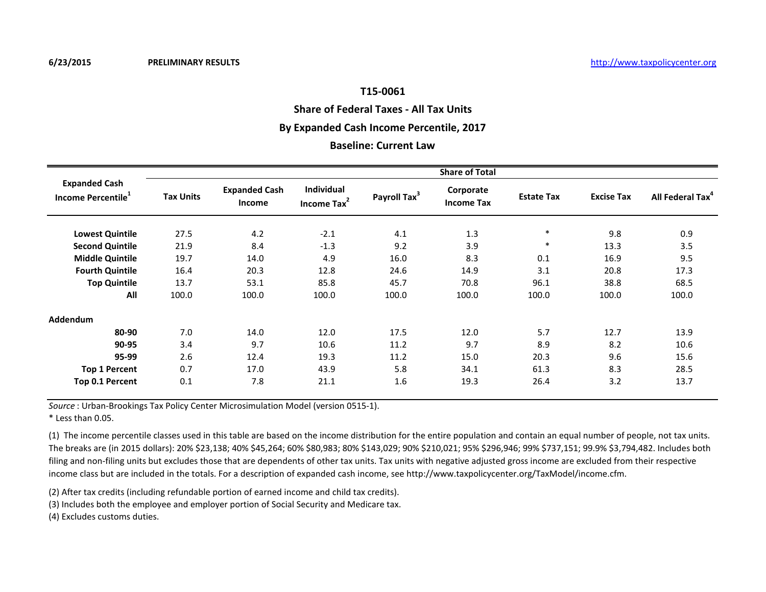## **Share of Federal Taxes - All Tax Units**

### **By Expanded Cash Income Percentile, 2017**

### **Baseline: Current Law**

|                                                        | <b>Share of Total</b> |                                |                                              |                          |                                |                   |                   |                              |  |  |
|--------------------------------------------------------|-----------------------|--------------------------------|----------------------------------------------|--------------------------|--------------------------------|-------------------|-------------------|------------------------------|--|--|
| <b>Expanded Cash</b><br>Income Percentile <sup>1</sup> | <b>Tax Units</b>      | <b>Expanded Cash</b><br>Income | <b>Individual</b><br>Income Tax <sup>2</sup> | Payroll Tax <sup>3</sup> | Corporate<br><b>Income Tax</b> | <b>Estate Tax</b> | <b>Excise Tax</b> | All Federal Tax <sup>4</sup> |  |  |
| <b>Lowest Quintile</b>                                 | 27.5                  | 4.2                            | $-2.1$                                       | 4.1                      | 1.3                            | $\ast$            | 9.8               | 0.9                          |  |  |
| <b>Second Quintile</b>                                 | 21.9                  | 8.4                            | $-1.3$                                       | 9.2                      | 3.9                            | $\ast$            | 13.3              | 3.5                          |  |  |
| <b>Middle Quintile</b>                                 | 19.7                  | 14.0                           | 4.9                                          | 16.0                     | 8.3                            | 0.1               | 16.9              | 9.5                          |  |  |
| <b>Fourth Quintile</b>                                 | 16.4                  | 20.3                           | 12.8                                         | 24.6                     | 14.9                           | 3.1               | 20.8              | 17.3                         |  |  |
| <b>Top Quintile</b>                                    | 13.7                  | 53.1                           | 85.8                                         | 45.7                     | 70.8                           | 96.1              | 38.8              | 68.5                         |  |  |
| All                                                    | 100.0                 | 100.0                          | 100.0                                        | 100.0                    | 100.0                          | 100.0             | 100.0             | 100.0                        |  |  |
| Addendum                                               |                       |                                |                                              |                          |                                |                   |                   |                              |  |  |
| 80-90                                                  | 7.0                   | 14.0                           | 12.0                                         | 17.5                     | 12.0                           | 5.7               | 12.7              | 13.9                         |  |  |
| 90-95                                                  | 3.4                   | 9.7                            | 10.6                                         | 11.2                     | 9.7                            | 8.9               | 8.2               | 10.6                         |  |  |
| 95-99                                                  | 2.6                   | 12.4                           | 19.3                                         | 11.2                     | 15.0                           | 20.3              | 9.6               | 15.6                         |  |  |
| <b>Top 1 Percent</b>                                   | 0.7                   | 17.0                           | 43.9                                         | 5.8                      | 34.1                           | 61.3              | 8.3               | 28.5                         |  |  |
| Top 0.1 Percent                                        | 0.1                   | 7.8                            | 21.1                                         | 1.6                      | 19.3                           | 26.4              | 3.2               | 13.7                         |  |  |

*Source* : Urban-Brookings Tax Policy Center Microsimulation Model (version 0515-1).

\* Less than 0.05.

(1) The income percentile classes used in this table are based on the income distribution for the entire population and contain an equal number of people, not tax units. The breaks are (in 2015 dollars): 20% \$23,138; 40% \$45,264; 60% \$80,983; 80% \$143,029; 90% \$210,021; 95% \$296,946; 99% \$737,151; 99.9% \$3,794,482. Includes both filing and non-filing units but excludes those that are dependents of other tax units. Tax units with negative adjusted gross income are excluded from their respective income class but are included in the totals. For a description of expanded cash income, see http://www.taxpolicycenter.org/TaxModel/income.cfm.

(2) After tax credits (including refundable portion of earned income and child tax credits).

(3) Includes both the employee and employer portion of Social Security and Medicare tax.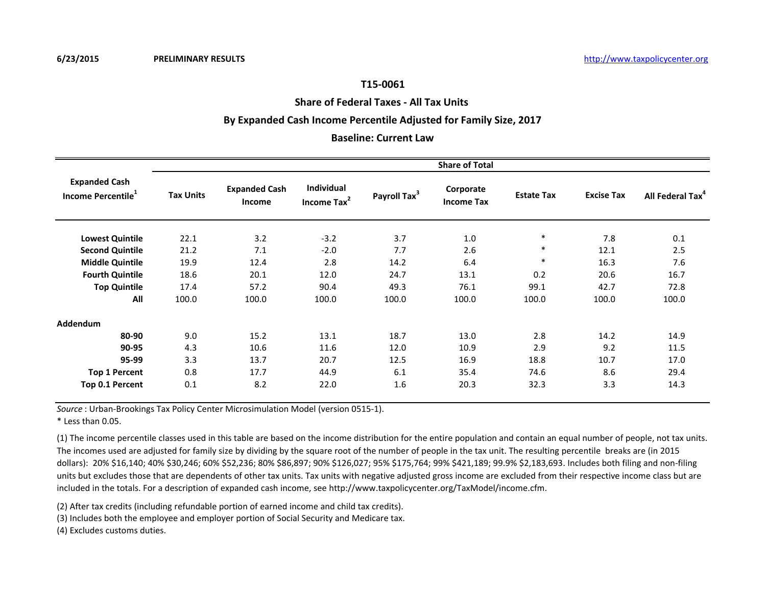#### **Share of Federal Taxes - All Tax Units**

### **By Expanded Cash Income Percentile Adjusted for Family Size, 2017**

### **Baseline: Current Law**

|                                                        | <b>Share of Total</b> |                                       |                              |                          |                                |                   |                   |                              |  |  |
|--------------------------------------------------------|-----------------------|---------------------------------------|------------------------------|--------------------------|--------------------------------|-------------------|-------------------|------------------------------|--|--|
| <b>Expanded Cash</b><br>Income Percentile <sup>1</sup> | <b>Tax Units</b>      | <b>Expanded Cash</b><br><b>Income</b> | Individual<br>Income Tax $2$ | Payroll Tax <sup>3</sup> | Corporate<br><b>Income Tax</b> | <b>Estate Tax</b> | <b>Excise Tax</b> | All Federal Tax <sup>4</sup> |  |  |
| <b>Lowest Quintile</b>                                 | 22.1                  | 3.2                                   | $-3.2$                       | 3.7                      | 1.0                            | $\ast$            | 7.8               | 0.1                          |  |  |
| <b>Second Quintile</b>                                 | 21.2                  | 7.1                                   | $-2.0$                       | 7.7                      | 2.6                            | $\ast$            | 12.1              | 2.5                          |  |  |
| <b>Middle Quintile</b>                                 | 19.9                  | 12.4                                  | 2.8                          | 14.2                     | 6.4                            | $\ast$            | 16.3              | 7.6                          |  |  |
| <b>Fourth Quintile</b>                                 | 18.6                  | 20.1                                  | 12.0                         | 24.7                     | 13.1                           | 0.2               | 20.6              | 16.7                         |  |  |
| <b>Top Quintile</b>                                    | 17.4                  | 57.2                                  | 90.4                         | 49.3                     | 76.1                           | 99.1              | 42.7              | 72.8                         |  |  |
| All                                                    | 100.0                 | 100.0                                 | 100.0                        | 100.0                    | 100.0                          | 100.0             | 100.0             | 100.0                        |  |  |
| <b>Addendum</b>                                        |                       |                                       |                              |                          |                                |                   |                   |                              |  |  |
| 80-90                                                  | 9.0                   | 15.2                                  | 13.1                         | 18.7                     | 13.0                           | 2.8               | 14.2              | 14.9                         |  |  |
| 90-95                                                  | 4.3                   | 10.6                                  | 11.6                         | 12.0                     | 10.9                           | 2.9               | 9.2               | 11.5                         |  |  |
| 95-99                                                  | 3.3                   | 13.7                                  | 20.7                         | 12.5                     | 16.9                           | 18.8              | 10.7              | 17.0                         |  |  |
| <b>Top 1 Percent</b>                                   | 0.8                   | 17.7                                  | 44.9                         | 6.1                      | 35.4                           | 74.6              | 8.6               | 29.4                         |  |  |
| Top 0.1 Percent                                        | 0.1                   | 8.2                                   | 22.0                         | 1.6                      | 20.3                           | 32.3              | 3.3               | 14.3                         |  |  |

*Source* : Urban-Brookings Tax Policy Center Microsimulation Model (version 0515-1).

\* Less than 0.05.

(1) The income percentile classes used in this table are based on the income distribution for the entire population and contain an equal number of people, not tax units. The incomes used are adjusted for family size by dividing by the square root of the number of people in the tax unit. The resulting percentile breaks are (in 2015 dollars): 20% \$16,140; 40% \$30,246; 60% \$52,236; 80% \$86,897; 90% \$126,027; 95% \$175,764; 99% \$421,189; 99.9% \$2,183,693. Includes both filing and non-filing units but excludes those that are dependents of other tax units. Tax units with negative adjusted gross income are excluded from their respective income class but are included in the totals. For a description of expanded cash income, see http://www.taxpolicycenter.org/TaxModel/income.cfm.

(2) After tax credits (including refundable portion of earned income and child tax credits).

(3) Includes both the employee and employer portion of Social Security and Medicare tax.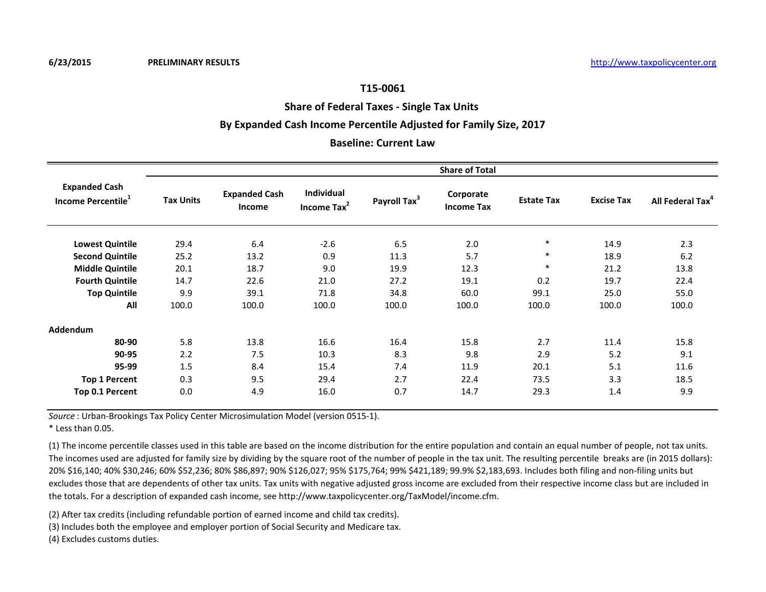## **Share of Federal Taxes - Single Tax Units**

## **By Expanded Cash Income Percentile Adjusted for Family Size, 2017**

#### **Baseline: Current Law**

|                                                        | <b>Share of Total</b> |                                |                                            |                          |                                |                   |                   |                              |  |  |
|--------------------------------------------------------|-----------------------|--------------------------------|--------------------------------------------|--------------------------|--------------------------------|-------------------|-------------------|------------------------------|--|--|
| <b>Expanded Cash</b><br>Income Percentile <sup>1</sup> | <b>Tax Units</b>      | <b>Expanded Cash</b><br>Income | <b>Individual</b><br>Income $\text{Tax}^2$ | Payroll Tax <sup>3</sup> | Corporate<br><b>Income Tax</b> | <b>Estate Tax</b> | <b>Excise Tax</b> | All Federal Tax <sup>+</sup> |  |  |
| <b>Lowest Quintile</b>                                 | 29.4                  | 6.4                            | $-2.6$                                     | 6.5                      | 2.0                            | $\ast$            | 14.9              | 2.3                          |  |  |
| <b>Second Quintile</b>                                 | 25.2                  | 13.2                           | 0.9                                        | 11.3                     | 5.7                            | $\ast$            | 18.9              | 6.2                          |  |  |
| <b>Middle Quintile</b>                                 | 20.1                  | 18.7                           | 9.0                                        | 19.9                     | 12.3                           | $\ast$            | 21.2              | 13.8                         |  |  |
| <b>Fourth Quintile</b>                                 | 14.7                  | 22.6                           | 21.0                                       | 27.2                     | 19.1                           | 0.2               | 19.7              | 22.4                         |  |  |
| <b>Top Quintile</b>                                    | 9.9                   | 39.1                           | 71.8                                       | 34.8                     | 60.0                           | 99.1              | 25.0              | 55.0                         |  |  |
| All                                                    | 100.0                 | 100.0                          | 100.0                                      | 100.0                    | 100.0                          | 100.0             | 100.0             | 100.0                        |  |  |
| <b>Addendum</b>                                        |                       |                                |                                            |                          |                                |                   |                   |                              |  |  |
| 80-90                                                  | 5.8                   | 13.8                           | 16.6                                       | 16.4                     | 15.8                           | 2.7               | 11.4              | 15.8                         |  |  |
| 90-95                                                  | 2.2                   | 7.5                            | 10.3                                       | 8.3                      | 9.8                            | 2.9               | 5.2               | 9.1                          |  |  |
| 95-99                                                  | 1.5                   | 8.4                            | 15.4                                       | 7.4                      | 11.9                           | 20.1              | 5.1               | 11.6                         |  |  |
| <b>Top 1 Percent</b>                                   | 0.3                   | 9.5                            | 29.4                                       | 2.7                      | 22.4                           | 73.5              | 3.3               | 18.5                         |  |  |
| Top 0.1 Percent                                        | 0.0                   | 4.9                            | 16.0                                       | 0.7                      | 14.7                           | 29.3              | 1.4               | 9.9                          |  |  |

*Source* : Urban-Brookings Tax Policy Center Microsimulation Model (version 0515-1).

\* Less than 0.05.

(1) The income percentile classes used in this table are based on the income distribution for the entire population and contain an equal number of people, not tax units. The incomes used are adjusted for family size by dividing by the square root of the number of people in the tax unit. The resulting percentile breaks are (in 2015 dollars): 20% \$16,140; 40% \$30,246; 60% \$52,236; 80% \$86,897; 90% \$126,027; 95% \$175,764; 99% \$421,189; 99.9% \$2,183,693. Includes both filing and non-filing units but excludes those that are dependents of other tax units. Tax units with negative adjusted gross income are excluded from their respective income class but are included in the totals. For a description of expanded cash income, see http://www.taxpolicycenter.org/TaxModel/income.cfm.

(2) After tax credits (including refundable portion of earned income and child tax credits).

(3) Includes both the employee and employer portion of Social Security and Medicare tax.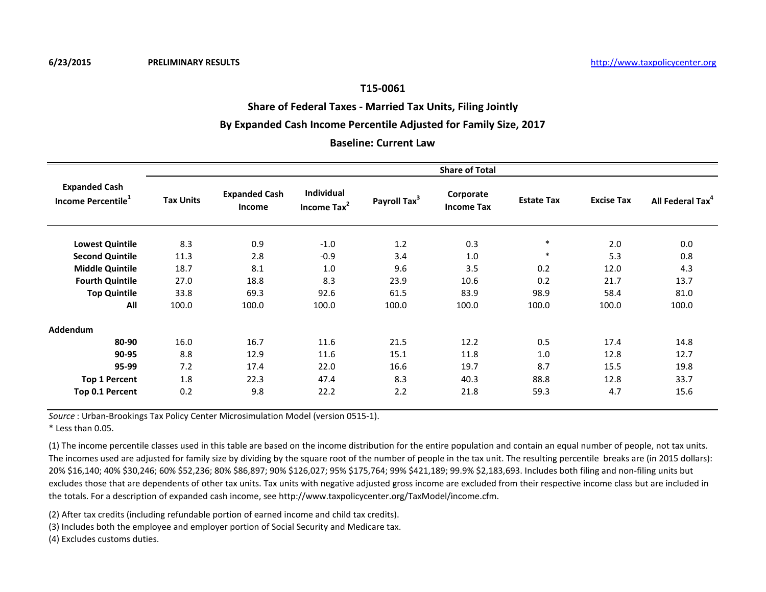## **Share of Federal Taxes - Married Tax Units, Filing Jointly**

## **By Expanded Cash Income Percentile Adjusted for Family Size, 2017**

#### **Baseline: Current Law**

|                                                        |                  | <b>Share of Total</b>                 |                                              |                          |                                |                   |                   |                              |  |  |  |
|--------------------------------------------------------|------------------|---------------------------------------|----------------------------------------------|--------------------------|--------------------------------|-------------------|-------------------|------------------------------|--|--|--|
| <b>Expanded Cash</b><br>Income Percentile <sup>1</sup> | <b>Tax Units</b> | <b>Expanded Cash</b><br><b>Income</b> | <b>Individual</b><br>Income Tax <sup>2</sup> | Payroll Tax <sup>3</sup> | Corporate<br><b>Income Tax</b> | <b>Estate Tax</b> | <b>Excise Tax</b> | All Federal Tax <sup>4</sup> |  |  |  |
| <b>Lowest Quintile</b>                                 | 8.3              | 0.9                                   | $-1.0$                                       | 1.2                      | 0.3                            | $\ast$            | 2.0               | 0.0                          |  |  |  |
| <b>Second Quintile</b>                                 | 11.3             | 2.8                                   | $-0.9$                                       | 3.4                      | 1.0                            | $\ast$            | 5.3               | 0.8                          |  |  |  |
| <b>Middle Quintile</b>                                 | 18.7             | 8.1                                   | 1.0                                          | 9.6                      | 3.5                            | 0.2               | 12.0              | 4.3                          |  |  |  |
| <b>Fourth Quintile</b>                                 | 27.0             | 18.8                                  | 8.3                                          | 23.9                     | 10.6                           | 0.2               | 21.7              | 13.7                         |  |  |  |
| <b>Top Quintile</b>                                    | 33.8             | 69.3                                  | 92.6                                         | 61.5                     | 83.9                           | 98.9              | 58.4              | 81.0                         |  |  |  |
| All                                                    | 100.0            | 100.0                                 | 100.0                                        | 100.0                    | 100.0                          | 100.0             | 100.0             | 100.0                        |  |  |  |
| Addendum                                               |                  |                                       |                                              |                          |                                |                   |                   |                              |  |  |  |
| 80-90                                                  | 16.0             | 16.7                                  | 11.6                                         | 21.5                     | 12.2                           | 0.5               | 17.4              | 14.8                         |  |  |  |
| 90-95                                                  | 8.8              | 12.9                                  | 11.6                                         | 15.1                     | 11.8                           | 1.0               | 12.8              | 12.7                         |  |  |  |
| 95-99                                                  | 7.2              | 17.4                                  | 22.0                                         | 16.6                     | 19.7                           | 8.7               | 15.5              | 19.8                         |  |  |  |
| <b>Top 1 Percent</b>                                   | 1.8              | 22.3                                  | 47.4                                         | 8.3                      | 40.3                           | 88.8              | 12.8              | 33.7                         |  |  |  |
| Top 0.1 Percent                                        | 0.2              | 9.8                                   | 22.2                                         | 2.2                      | 21.8                           | 59.3              | 4.7               | 15.6                         |  |  |  |

*Source* : Urban-Brookings Tax Policy Center Microsimulation Model (version 0515-1).

\* Less than 0.05.

(1) The income percentile classes used in this table are based on the income distribution for the entire population and contain an equal number of people, not tax units. The incomes used are adjusted for family size by dividing by the square root of the number of people in the tax unit. The resulting percentile breaks are (in 2015 dollars): 20% \$16,140; 40% \$30,246; 60% \$52,236; 80% \$86,897; 90% \$126,027; 95% \$175,764; 99% \$421,189; 99.9% \$2,183,693. Includes both filing and non-filing units but excludes those that are dependents of other tax units. Tax units with negative adjusted gross income are excluded from their respective income class but are included in the totals. For a description of expanded cash income, see http://www.taxpolicycenter.org/TaxModel/income.cfm.

(2) After tax credits (including refundable portion of earned income and child tax credits).

(3) Includes both the employee and employer portion of Social Security and Medicare tax.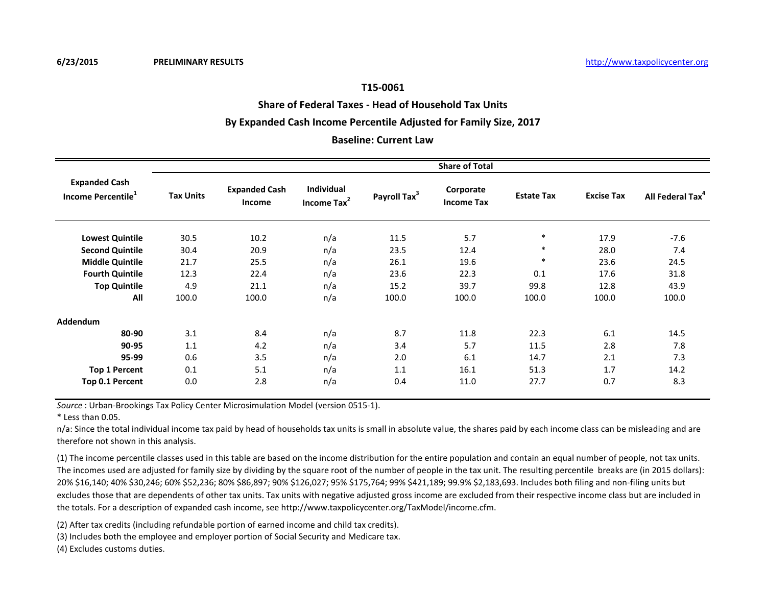**Share of Federal Taxes - Head of Household Tax Units**

# **By Expanded Cash Income Percentile Adjusted for Family Size, 2017**

### **Baseline: Current Law**

|                                                        | <b>Share of Total</b> |                                |                              |                          |                                |                   |                   |                              |  |  |
|--------------------------------------------------------|-----------------------|--------------------------------|------------------------------|--------------------------|--------------------------------|-------------------|-------------------|------------------------------|--|--|
| <b>Expanded Cash</b><br>Income Percentile <sup>1</sup> | <b>Tax Units</b>      | <b>Expanded Cash</b><br>Income | Individual<br>Income Tax $2$ | Payroll Tax <sup>3</sup> | Corporate<br><b>Income Tax</b> | <b>Estate Tax</b> | <b>Excise Tax</b> | All Federal Tax <sup>4</sup> |  |  |
| <b>Lowest Quintile</b>                                 | 30.5                  | 10.2                           | n/a                          | 11.5                     | 5.7                            | $\ast$            | 17.9              | $-7.6$                       |  |  |
| <b>Second Quintile</b>                                 | 30.4                  | 20.9                           | n/a                          | 23.5                     | 12.4                           | $\ast$            | 28.0              | 7.4                          |  |  |
| <b>Middle Quintile</b>                                 | 21.7                  | 25.5                           | n/a                          | 26.1                     | 19.6                           | $\ast$            | 23.6              | 24.5                         |  |  |
| <b>Fourth Quintile</b>                                 | 12.3                  | 22.4                           | n/a                          | 23.6                     | 22.3                           | 0.1               | 17.6              | 31.8                         |  |  |
| <b>Top Quintile</b>                                    | 4.9                   | 21.1                           | n/a                          | 15.2                     | 39.7                           | 99.8              | 12.8              | 43.9                         |  |  |
| All                                                    | 100.0                 | 100.0                          | n/a                          | 100.0                    | 100.0                          | 100.0             | 100.0             | 100.0                        |  |  |
| Addendum                                               |                       |                                |                              |                          |                                |                   |                   |                              |  |  |
| 80-90                                                  | 3.1                   | 8.4                            | n/a                          | 8.7                      | 11.8                           | 22.3              | 6.1               | 14.5                         |  |  |
| 90-95                                                  | 1.1                   | 4.2                            | n/a                          | 3.4                      | 5.7                            | 11.5              | 2.8               | 7.8                          |  |  |
| 95-99                                                  | 0.6                   | 3.5                            | n/a                          | 2.0                      | 6.1                            | 14.7              | 2.1               | 7.3                          |  |  |
| <b>Top 1 Percent</b>                                   | 0.1                   | 5.1                            | n/a                          | 1.1                      | 16.1                           | 51.3              | 1.7               | 14.2                         |  |  |
| Top 0.1 Percent                                        | 0.0                   | 2.8                            | n/a                          | 0.4                      | 11.0                           | 27.7              | 0.7               | 8.3                          |  |  |

*Source* : Urban-Brookings Tax Policy Center Microsimulation Model (version 0515-1).

\* Less than 0.05.

n/a: Since the total individual income tax paid by head of households tax units is small in absolute value, the shares paid by each income class can be misleading and are therefore not shown in this analysis.

(1) The income percentile classes used in this table are based on the income distribution for the entire population and contain an equal number of people, not tax units. The incomes used are adjusted for family size by dividing by the square root of the number of people in the tax unit. The resulting percentile breaks are (in 2015 dollars): 20% \$16,140; 40% \$30,246; 60% \$52,236; 80% \$86,897; 90% \$126,027; 95% \$175,764; 99% \$421,189; 99.9% \$2,183,693. Includes both filing and non-filing units but excludes those that are dependents of other tax units. Tax units with negative adjusted gross income are excluded from their respective income class but are included in the totals. For a description of expanded cash income, see http://www.taxpolicycenter.org/TaxModel/income.cfm.

(2) After tax credits (including refundable portion of earned income and child tax credits).

(3) Includes both the employee and employer portion of Social Security and Medicare tax.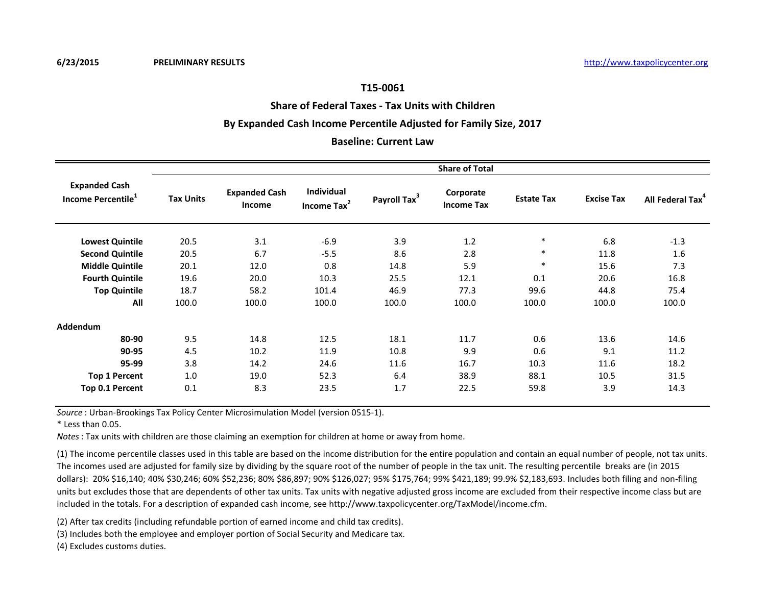## **Share of Federal Taxes - Tax Units with Children**

## **By Expanded Cash Income Percentile Adjusted for Family Size, 2017**

### **Baseline: Current Law**

|                                                        | <b>Share of Total</b> |                                |                                       |                          |                                |                   |                   |                              |  |  |
|--------------------------------------------------------|-----------------------|--------------------------------|---------------------------------------|--------------------------|--------------------------------|-------------------|-------------------|------------------------------|--|--|
| <b>Expanded Cash</b><br>Income Percentile <sup>1</sup> | <b>Tax Units</b>      | <b>Expanded Cash</b><br>Income | Individual<br>Income Tax <sup>2</sup> | Payroll Tax <sup>3</sup> | Corporate<br><b>Income Tax</b> | <b>Estate Tax</b> | <b>Excise Tax</b> | All Federal Tax <sup>4</sup> |  |  |
| <b>Lowest Quintile</b>                                 | 20.5                  | 3.1                            | $-6.9$                                | 3.9                      | 1.2                            | $\ast$            | 6.8               | $-1.3$                       |  |  |
| <b>Second Quintile</b>                                 | 20.5                  | 6.7                            | $-5.5$                                | 8.6                      | 2.8                            | $\ast$            | 11.8              | 1.6                          |  |  |
| <b>Middle Quintile</b>                                 | 20.1                  | 12.0                           | 0.8                                   | 14.8                     | 5.9                            | ∗                 | 15.6              | 7.3                          |  |  |
| <b>Fourth Quintile</b>                                 | 19.6                  | 20.0                           | 10.3                                  | 25.5                     | 12.1                           | 0.1               | 20.6              | 16.8                         |  |  |
| <b>Top Quintile</b>                                    | 18.7                  | 58.2                           | 101.4                                 | 46.9                     | 77.3                           | 99.6              | 44.8              | 75.4                         |  |  |
| All                                                    | 100.0                 | 100.0                          | 100.0                                 | 100.0                    | 100.0                          | 100.0             | 100.0             | 100.0                        |  |  |
| Addendum                                               |                       |                                |                                       |                          |                                |                   |                   |                              |  |  |
| 80-90                                                  | 9.5                   | 14.8                           | 12.5                                  | 18.1                     | 11.7                           | 0.6               | 13.6              | 14.6                         |  |  |
| 90-95                                                  | 4.5                   | 10.2                           | 11.9                                  | 10.8                     | 9.9                            | 0.6               | 9.1               | 11.2                         |  |  |
| 95-99                                                  | 3.8                   | 14.2                           | 24.6                                  | 11.6                     | 16.7                           | 10.3              | 11.6              | 18.2                         |  |  |
| <b>Top 1 Percent</b>                                   | 1.0                   | 19.0                           | 52.3                                  | 6.4                      | 38.9                           | 88.1              | 10.5              | 31.5                         |  |  |
| Top 0.1 Percent                                        | 0.1                   | 8.3                            | 23.5                                  | 1.7                      | 22.5                           | 59.8              | 3.9               | 14.3                         |  |  |

*Source* : Urban-Brookings Tax Policy Center Microsimulation Model (version 0515-1).

 $*$  Less than  $0.05$ .

*Notes*: Tax units with children are those claiming an exemption for children at home or away from home.

(1) The income percentile classes used in this table are based on the income distribution for the entire population and contain an equal number of people, not tax units. The incomes used are adjusted for family size by dividing by the square root of the number of people in the tax unit. The resulting percentile breaks are (in 2015 dollars): 20% \$16,140; 40% \$30,246; 60% \$52,236; 80% \$86,897; 90% \$126,027; 95% \$175,764; 99% \$421,189; 99.9% \$2,183,693. Includes both filing and non-filing units but excludes those that are dependents of other tax units. Tax units with negative adjusted gross income are excluded from their respective income class but are included in the totals. For a description of expanded cash income, see http://www.taxpolicycenter.org/TaxModel/income.cfm.

(2) After tax credits (including refundable portion of earned income and child tax credits).

(3) Includes both the employee and employer portion of Social Security and Medicare tax.